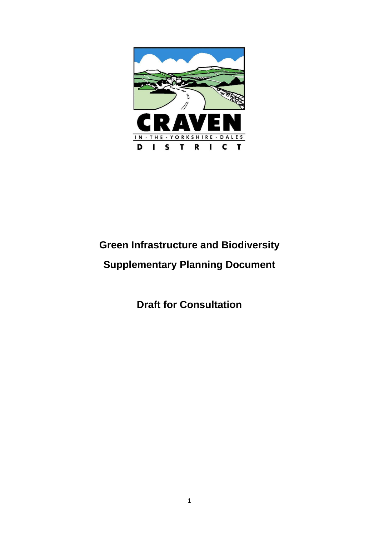

# **Green Infrastructure and Biodiversity Supplementary Planning Document**

**Draft for Consultation**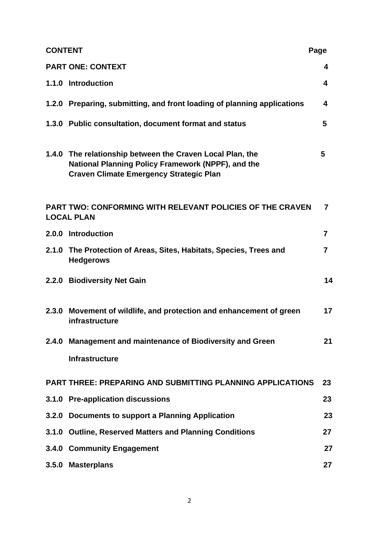| <b>CONTENT</b><br>Page |                                                                                                                                                                   |                         |
|------------------------|-------------------------------------------------------------------------------------------------------------------------------------------------------------------|-------------------------|
|                        | <b>PART ONE: CONTEXT</b>                                                                                                                                          | 4                       |
|                        | 1.1.0 Introduction                                                                                                                                                | 4                       |
|                        | 1.2.0 Preparing, submitting, and front loading of planning applications                                                                                           | 4                       |
|                        | 1.3.0 Public consultation, document format and status                                                                                                             | 5                       |
|                        | 1.4.0 The relationship between the Craven Local Plan, the<br>National Planning Policy Framework (NPPF), and the<br><b>Craven Climate Emergency Strategic Plan</b> | 5                       |
|                        | <b>PART TWO: CONFORMING WITH RELEVANT POLICIES OF THE CRAVEN</b><br><b>LOCAL PLAN</b>                                                                             | $\overline{7}$          |
|                        | 2.0.0 Introduction                                                                                                                                                | $\overline{7}$          |
|                        | 2.1.0 The Protection of Areas, Sites, Habitats, Species, Trees and<br><b>Hedgerows</b>                                                                            | $\overline{\mathbf{7}}$ |
|                        | 2.2.0 Biodiversity Net Gain                                                                                                                                       | 14                      |
|                        | 2.3.0 Movement of wildlife, and protection and enhancement of green<br>infrastructure                                                                             | 17                      |
|                        | 2.4.0 Management and maintenance of Biodiversity and Green                                                                                                        | 21                      |
|                        | <b>Infrastructure</b>                                                                                                                                             |                         |
|                        | <b>PART THREE: PREPARING AND SUBMITTING PLANNING APPLICATIONS</b>                                                                                                 | 23                      |
|                        | 3.1.0 Pre-application discussions                                                                                                                                 | 23                      |
| 3.2.0                  | Documents to support a Planning Application                                                                                                                       | 23                      |
|                        | 3.1.0 Outline, Reserved Matters and Planning Conditions                                                                                                           | 27                      |
|                        | 3.4.0 Community Engagement                                                                                                                                        | 27                      |
|                        | 3.5.0 Masterplans                                                                                                                                                 | 27                      |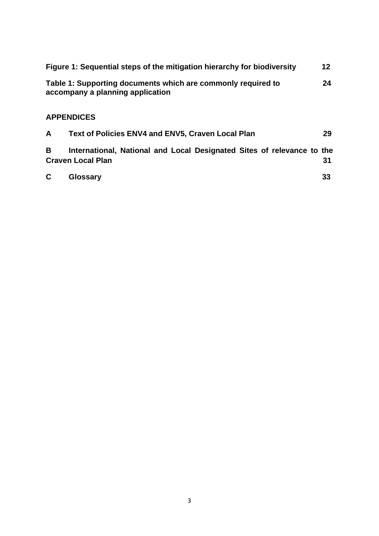| Figure 1: Sequential steps of the mitigation hierarchy for biodiversity                          | 12 |
|--------------------------------------------------------------------------------------------------|----|
| Table 1: Supporting documents which are commonly required to<br>accompany a planning application | 24 |
| <b>APPENDICES</b>                                                                                |    |

# **A Text of Policies ENV4 and ENV5, Craven Local Plan 29**

| B            | International, National and Local Designated Sites of relevance to the<br><b>Craven Local Plan</b> | 31 |
|--------------|----------------------------------------------------------------------------------------------------|----|
| $\mathbf{C}$ | <b>Glossary</b>                                                                                    | 33 |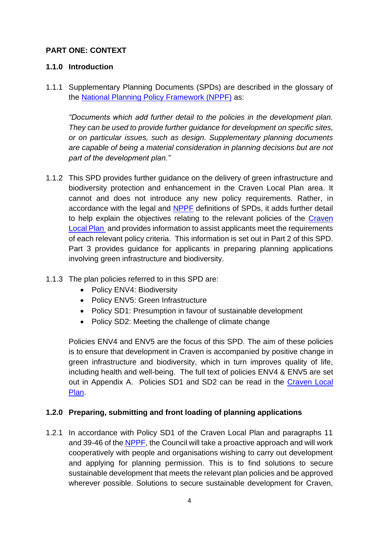# **PART ONE: CONTEXT**

# **1.1.0 Introduction**

1.1.1 Supplementary Planning Documents (SPDs) are described in the glossary of the [National Planning Policy Framework \(NPPF\)](https://www.gov.uk/government/publications/national-planning-policy-framework--2) as:

*"Documents which add further detail to the policies in the development plan. They can be used to provide further guidance for development on specific sites, or on particular issues, such as design. Supplementary planning documents are capable of being a material consideration in planning decisions but are not part of the development plan."*

- 1.1.2 This SPD provides further guidance on the delivery of green infrastructure and biodiversity protection and enhancement in the Craven Local Plan area. It cannot and does not introduce any new policy requirements. Rather, in accordance with the legal and [NPPF](https://www.gov.uk/government/publications/national-planning-policy-framework--2) definitions of SPDs, it adds further detail to help explain the objectives relating to the relevant policies of the [Craven](https://www.cravendc.gov.uk/planning/craven-local-plan/)  [Local Plan](https://www.cravendc.gov.uk/planning/craven-local-plan/) and provides information to assist applicants meet the requirements of each relevant policy criteria. This information is set out in Part 2 of this SPD. Part 3 provides guidance for applicants in preparing planning applications involving green infrastructure and biodiversity.
- 1.1.3 The plan policies referred to in this SPD are:
	- Policy ENV4: Biodiversity
	- Policy ENV5: Green Infrastructure
	- Policy SD1: Presumption in favour of sustainable development
	- Policy SD2: Meeting the challenge of climate change

Policies ENV4 and ENV5 are the focus of this SPD. The aim of these policies is to ensure that development in Craven is accompanied by positive change in green infrastructure and biodiversity, which in turn improves quality of life, including health and well-being. The full text of policies ENV4 & ENV5 are set out in Appendix A. Policies SD1 and SD2 can be read in the [Craven Local](https://www.cravendc.gov.uk/planning/craven-local-plan/)  [Plan.](https://www.cravendc.gov.uk/planning/craven-local-plan/)

# **1.2.0 Preparing, submitting and front loading of planning applications**

1.2.1 In accordance with Policy SD1 of the Craven Local Plan and paragraphs 11 and 39-46 of the [NPPF,](https://www.gov.uk/government/publications/national-planning-policy-framework--2) the Council will take a proactive approach and will work cooperatively with people and organisations wishing to carry out development and applying for planning permission. This is to find solutions to secure sustainable development that meets the relevant plan policies and be approved wherever possible. Solutions to secure sustainable development for Craven,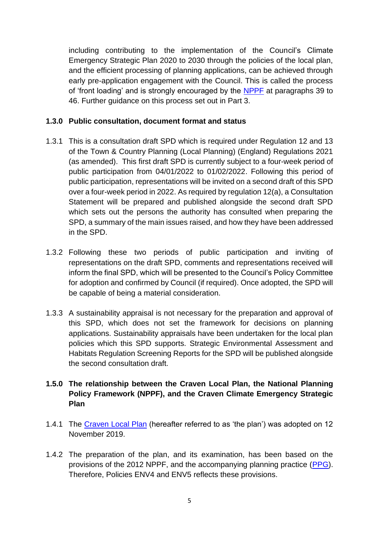including contributing to the implementation of the Council's Climate Emergency Strategic Plan 2020 to 2030 through the policies of the local plan, and the efficient processing of planning applications, can be achieved through early pre-application engagement with the Council. This is called the process of 'front loading' and is strongly encouraged by the [NPPF](https://www.gov.uk/government/publications/national-planning-policy-framework--2) at paragraphs 39 to 46. Further guidance on this process set out in Part 3.

## **1.3.0 Public consultation, document format and status**

- 1.3.1 This is a consultation draft SPD which is required under Regulation 12 and 13 of the Town & Country Planning (Local Planning) (England) Regulations 2021 (as amended). This first draft SPD is currently subject to a four-week period of public participation from 04/01/2022 to 01/02/2022. Following this period of public participation, representations will be invited on a second draft of this SPD over a four-week period in 2022. As required by regulation 12(a), a Consultation Statement will be prepared and published alongside the second draft SPD which sets out the persons the authority has consulted when preparing the SPD, a summary of the main issues raised, and how they have been addressed in the SPD.
- 1.3.2 Following these two periods of public participation and inviting of representations on the draft SPD, comments and representations received will inform the final SPD, which will be presented to the Council's Policy Committee for adoption and confirmed by Council (if required). Once adopted, the SPD will be capable of being a material consideration.
- 1.3.3 A sustainability appraisal is not necessary for the preparation and approval of this SPD, which does not set the framework for decisions on planning applications. Sustainability appraisals have been undertaken for the local plan policies which this SPD supports. Strategic Environmental Assessment and Habitats Regulation Screening Reports for the SPD will be published alongside the second consultation draft.

# **1.5.0 The relationship between the Craven Local Plan, the National Planning Policy Framework (NPPF), and the Craven Climate Emergency Strategic Plan**

- 1.4.1 The [Craven Local Plan](https://www.cravendc.gov.uk/planning/craven-local-plan/) (hereafter referred to as 'the plan') was adopted on 12 November 2019.
- 1.4.2 The preparation of the plan, and its examination, has been based on the provisions of the 2012 NPPF, and the accompanying planning practice [\(PPG\)](https://www.gov.uk/government/collections/planning-practice-guidance). Therefore, Policies ENV4 and ENV5 reflects these provisions.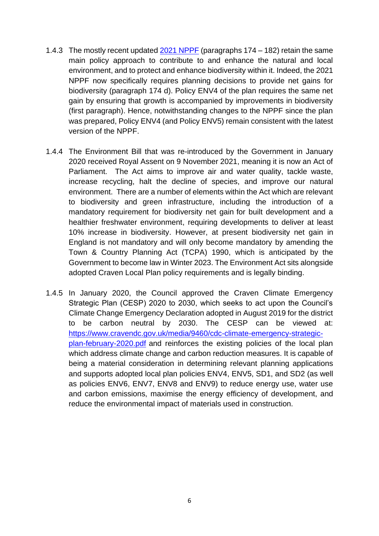- 1.4.3 The mostly recent updated 2021 [NPPF](https://www.gov.uk/government/publications/national-planning-policy-framework--2) (paragraphs 174 182) retain the same main policy approach to contribute to and enhance the natural and local environment, and to protect and enhance biodiversity within it. Indeed, the 2021 NPPF now specifically requires planning decisions to provide net gains for biodiversity (paragraph 174 d). Policy ENV4 of the plan requires the same net gain by ensuring that growth is accompanied by improvements in biodiversity (first paragraph). Hence, notwithstanding changes to the NPPF since the plan was prepared, Policy ENV4 (and Policy ENV5) remain consistent with the latest version of the NPPF.
- 1.4.4 The Environment Bill that was re-introduced by the Government in January 2020 received Royal Assent on 9 November 2021, meaning it is now an Act of Parliament. The Act aims to improve air and water quality, tackle waste, increase recycling, halt the decline of species, and improve our natural environment. There are a number of elements within the Act which are relevant to biodiversity and green infrastructure, including the introduction of a mandatory requirement for biodiversity net gain for built development and a healthier freshwater environment, requiring developments to deliver at least 10% increase in biodiversity. However, at present biodiversity net gain in England is not mandatory and will only become mandatory by amending the Town & Country Planning Act (TCPA) 1990, which is anticipated by the Government to become law in Winter 2023. The Environment Act sits alongside adopted Craven Local Plan policy requirements and is legally binding.
- 1.4.5 In January 2020, the Council approved the Craven Climate Emergency Strategic Plan (CESP) 2020 to 2030, which seeks to act upon the Council's Climate Change Emergency Declaration adopted in August 2019 for the district to be carbon neutral by 2030. The CESP can be viewed at: [https://www.cravendc.gov.uk/media/9460/cdc-climate-emergency-strategic](https://www.cravendc.gov.uk/media/9460/cdc-climate-emergency-strategic-plan-february-2020.pdf)[plan-february-2020.pdf](https://www.cravendc.gov.uk/media/9460/cdc-climate-emergency-strategic-plan-february-2020.pdf) and reinforces the existing policies of the local plan which address climate change and carbon reduction measures. It is capable of being a material consideration in determining relevant planning applications and supports adopted local plan policies ENV4, ENV5, SD1, and SD2 (as well as policies ENV6, ENV7, ENV8 and ENV9) to reduce energy use, water use and carbon emissions, maximise the energy efficiency of development, and reduce the environmental impact of materials used in construction.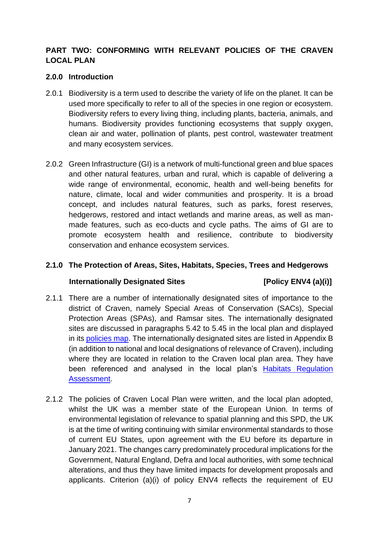# **PART TWO: CONFORMING WITH RELEVANT POLICIES OF THE CRAVEN LOCAL PLAN**

## **2.0.0 Introduction**

- 2.0.1 Biodiversity is a term used to describe the variety of life on the planet. It can be used more specifically to refer to all of the species in one region or ecosystem. Biodiversity refers to every living thing, including plants, bacteria, animals, and humans. Biodiversity provides functioning ecosystems that supply oxygen, clean air and water, pollination of plants, pest control, wastewater treatment and many ecosystem services.
- 2.0.2 Green Infrastructure (GI) is a network of multi-functional green and blue spaces and other natural features, urban and rural, which is capable of delivering a wide range of environmental, economic, health and well-being benefits for nature, climate, local and wider communities and prosperity. It is a broad concept, and includes natural features, such as parks, forest reserves, hedgerows, restored and intact wetlands and marine areas, as well as manmade features, such as eco-ducts and cycle paths. The aims of GI are to promote ecosystem health and resilience, contribute to biodiversity conservation and enhance ecosystem services.

# **2.1.0 The Protection of Areas, Sites, Habitats, Species, Trees and Hedgerows**

# **Internationally Designated Sites [Policy ENV4 (a)(i)]**

- 2.1.1 There are a number of internationally designated sites of importance to the district of Craven, namely Special Areas of Conservation (SACs), Special Protection Areas (SPAs), and Ramsar sites. The internationally designated sites are discussed in paragraphs 5.42 to 5.45 in the local plan and displayed in its [policies map.](http://www.cravendc.gov.uk/planning/accessible-craven-local-plan/#POLICIESMAP) The internationally designated sites are listed in Appendix B (in addition to national and local designations of relevance of Craven), including where they are located in relation to the Craven local plan area. They have been referenced and analysed in the local plan's [Habitats Regulation](https://www.cravendc.gov.uk/planning/spatial-planning/evidence-and-monitoring/sustainability-and-habitats/)  [Assessment.](https://www.cravendc.gov.uk/planning/spatial-planning/evidence-and-monitoring/sustainability-and-habitats/)
- 2.1.2 The policies of Craven Local Plan were written, and the local plan adopted, whilst the UK was a member state of the European Union. In terms of environmental legislation of relevance to spatial planning and this SPD, the UK is at the time of writing continuing with similar environmental standards to those of current EU States, upon agreement with the EU before its departure in January 2021. The changes carry predominately procedural implications for the Government, Natural England, Defra and local authorities, with some technical alterations, and thus they have limited impacts for development proposals and applicants. Criterion (a)(i) of policy ENV4 reflects the requirement of EU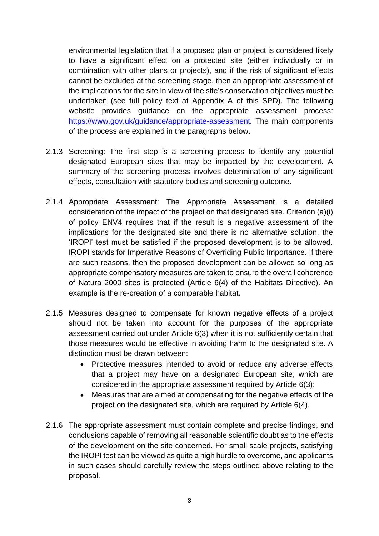environmental legislation that if a proposed plan or project is considered likely to have a significant effect on a protected site (either individually or in combination with other plans or projects), and if the risk of significant effects cannot be excluded at the screening stage, then an appropriate assessment of the implications for the site in view of the site's conservation objectives must be undertaken (see full policy text at Appendix A of this SPD). The following website provides guidance on the appropriate assessment process: <https://www.gov.uk/guidance/appropriate-assessment>*.* The main components of the process are explained in the paragraphs below.

- 2.1.3 Screening: The first step is a screening process to identify any potential designated European sites that may be impacted by the development. A summary of the screening process involves determination of any significant effects, consultation with statutory bodies and screening outcome.
- 2.1.4 Appropriate Assessment: The Appropriate Assessment is a detailed consideration of the impact of the project on that designated site. Criterion (a)(i) of policy ENV4 requires that if the result is a negative assessment of the implications for the designated site and there is no alternative solution, the 'IROPI' test must be satisfied if the proposed development is to be allowed. IROPI stands for Imperative Reasons of Overriding Public Importance. If there are such reasons, then the proposed development can be allowed so long as appropriate compensatory measures are taken to ensure the overall coherence of Natura 2000 sites is protected (Article 6(4) of the Habitats Directive). An example is the re-creation of a comparable habitat.
- 2.1.5 Measures designed to compensate for known negative effects of a project should not be taken into account for the purposes of the appropriate assessment carried out under Article 6(3) when it is not sufficiently certain that those measures would be effective in avoiding harm to the designated site. A distinction must be drawn between:
	- Protective measures intended to avoid or reduce any adverse effects that a project may have on a designated European site, which are considered in the appropriate assessment required by Article 6(3);
	- Measures that are aimed at compensating for the negative effects of the project on the designated site, which are required by Article 6(4).
- 2.1.6 The appropriate assessment must contain complete and precise findings, and conclusions capable of removing all reasonable scientific doubt as to the effects of the development on the site concerned. For small scale projects, satisfying the IROPI test can be viewed as quite a high hurdle to overcome, and applicants in such cases should carefully review the steps outlined above relating to the proposal.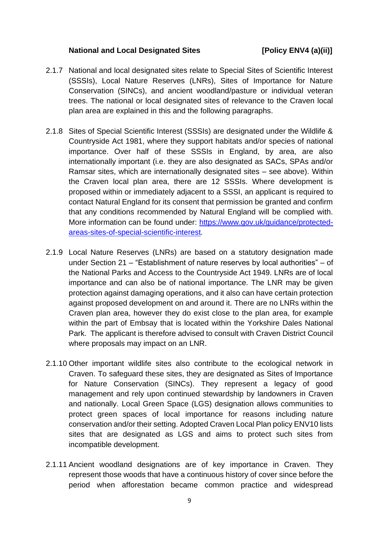#### **National and Local Designated Sites [Policy ENV4 (a)(ii)]**

- 2.1.7 National and local designated sites relate to Special Sites of Scientific Interest (SSSIs), Local Nature Reserves (LNRs), Sites of Importance for Nature Conservation (SINCs), and ancient woodland/pasture or individual veteran trees. The national or local designated sites of relevance to the Craven local plan area are explained in this and the following paragraphs.
- 2.1.8 Sites of Special Scientific Interest (SSSIs) are designated under the Wildlife & Countryside Act 1981, where they support habitats and/or species of national importance. Over half of these SSSIs in England, by area, are also internationally important (i.e. they are also designated as SACs, SPAs and/or Ramsar sites, which are internationally designated sites – see above). Within the Craven local plan area, there are 12 SSSIs. Where development is proposed within or immediately adjacent to a SSSI, an applicant is required to contact Natural England for its consent that permission be granted and confirm that any conditions recommended by Natural England will be complied with. More information can be found under: [https://www.gov.uk/guidance/protected](https://www.gov.uk/guidance/protected-areas-sites-of-special-scientific-interest)[areas-sites-of-special-scientific-interest](https://www.gov.uk/guidance/protected-areas-sites-of-special-scientific-interest)*.*
- 2.1.9 Local Nature Reserves (LNRs) are based on a statutory designation made under Section 21 – "Establishment of nature reserves by local authorities" – of the National Parks and Access to the Countryside Act 1949. LNRs are of local importance and can also be of national importance. The LNR may be given protection against damaging operations, and it also can have certain protection against proposed development on and around it. There are no LNRs within the Craven plan area, however they do exist close to the plan area, for example within the part of Embsay that is located within the Yorkshire Dales National Park. The applicant is therefore advised to consult with Craven District Council where proposals may impact on an LNR.
- 2.1.10 Other important wildlife sites also contribute to the ecological network in Craven. To safeguard these sites, they are designated as Sites of Importance for Nature Conservation (SINCs). They represent a legacy of good management and rely upon continued stewardship by landowners in Craven and nationally. Local Green Space (LGS) designation allows communities to protect green spaces of local importance for reasons including nature conservation and/or their setting. Adopted Craven Local Plan policy ENV10 lists sites that are designated as LGS and aims to protect such sites from incompatible development.
- 2.1.11 Ancient woodland designations are of key importance in Craven. They represent those woods that have a continuous history of cover since before the period when afforestation became common practice and widespread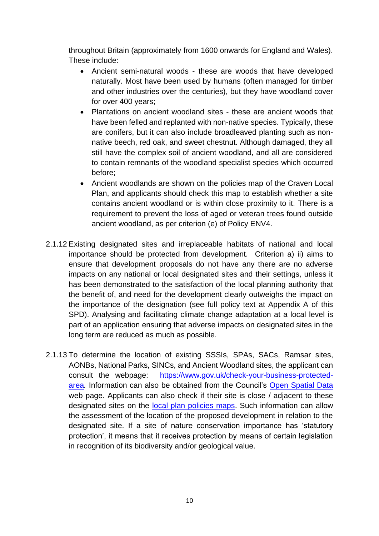throughout Britain (approximately from 1600 onwards for England and Wales). These include:

- Ancient semi-natural woods these are woods that have developed naturally. Most have been used by humans (often managed for timber and other industries over the centuries), but they have woodland cover for over 400 years;
- Plantations on ancient woodland sites these are ancient woods that have been felled and replanted with non-native species. Typically, these are conifers, but it can also include broadleaved planting such as nonnative beech, red oak, and sweet chestnut. Although damaged, they all still have the complex soil of ancient woodland, and all are considered to contain remnants of the woodland specialist species which occurred before;
- Ancient woodlands are shown on the policies map of the Craven Local Plan, and applicants should check this map to establish whether a site contains ancient woodland or is within close proximity to it. There is a requirement to prevent the loss of aged or veteran trees found outside ancient woodland, as per criterion (e) of Policy ENV4.
- 2.1.12 Existing designated sites and irreplaceable habitats of national and local importance should be protected from development. Criterion a) ii) aims to ensure that development proposals do not have any there are no adverse impacts on any national or local designated sites and their settings, unless it has been demonstrated to the satisfaction of the local planning authority that the benefit of, and need for the development clearly outweighs the impact on the importance of the designation (see full policy text at Appendix A of this SPD). Analysing and facilitating climate change adaptation at a local level is part of an application ensuring that adverse impacts on designated sites in the long term are reduced as much as possible.
- 2.1.13 To determine the location of existing SSSIs, SPAs, SACs, Ramsar sites, AONBs, National Parks, SINCs, and Ancient Woodland sites, the applicant can consult the webpage: [https://www.gov.uk/check-your-business-protected](https://www.gov.uk/check-your-business-protected-area)[area](https://www.gov.uk/check-your-business-protected-area)*.* Information can also be obtained from the Council's [Open Spatial Data](https://data-cravendc.opendata.arcgis.com/) web page. Applicants can also check if their site is close / adjacent to these designated sites on the [local plan policies maps.](https://www.cravendc.gov.uk/planning/accessible-craven-local-plan/#POLICIESMAP) Such information can allow the assessment of the location of the proposed development in relation to the designated site. If a site of nature conservation importance has 'statutory protection', it means that it receives protection by means of certain legislation in recognition of its biodiversity and/or geological value.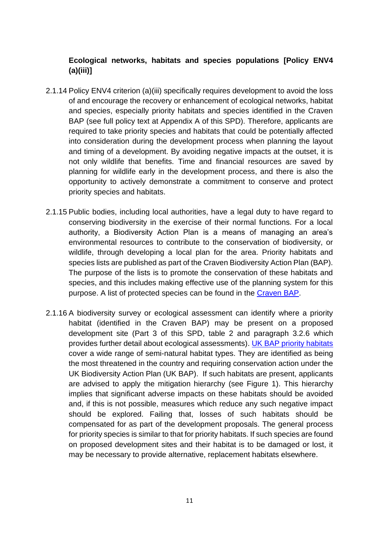# **Ecological networks, habitats and species populations [Policy ENV4 (a)(iii)]**

- 2.1.14 Policy ENV4 criterion (a)(iii) specifically requires development to avoid the loss of and encourage the recovery or enhancement of ecological networks, habitat and species, especially priority habitats and species identified in the Craven BAP (see full policy text at Appendix A of this SPD). Therefore, applicants are required to take priority species and habitats that could be potentially affected into consideration during the development process when planning the layout and timing of a development. By avoiding negative impacts at the outset, it is not only wildlife that benefits. Time and financial resources are saved by planning for wildlife early in the development process, and there is also the opportunity to actively demonstrate a commitment to conserve and protect priority species and habitats.
- 2.1.15 Public bodies, including local authorities, have a legal duty to have regard to conserving biodiversity in the exercise of their normal functions. For a local authority, a Biodiversity Action Plan is a means of managing an area's environmental resources to contribute to the conservation of biodiversity, or wildlife, through developing a local plan for the area. Priority habitats and species lists are published as part of the Craven Biodiversity Action Plan (BAP). The purpose of the lists is to promote the conservation of these habitats and species, and this includes making effective use of the planning system for this purpose. A list of protected species can be found in the [Craven BAP.](https://www.cravendc.gov.uk/media/1970/biodiversity-action-plan-bap.pdf)
- 2.1.16 A biodiversity survey or ecological assessment can identify where a priority habitat (identified in the Craven BAP) may be present on a proposed development site (Part 3 of this SPD, table 2 and paragraph 3.2.6 which provides further detail about ecological assessments). [UK BAP priority habitats](https://jncc.gov.uk/our-work/uk-bap-priority-habitats/#list-of-uk-bap-priority-habitats) cover a wide range of semi-natural habitat types. They are identified as being the most threatened in the country and requiring conservation action under the UK Biodiversity Action Plan (UK BAP). If such habitats are present, applicants are advised to apply the mitigation hierarchy (see Figure 1). This hierarchy implies that significant adverse impacts on these habitats should be avoided and, if this is not possible, measures which reduce any such negative impact should be explored. Failing that, losses of such habitats should be compensated for as part of the development proposals. The general process for priority species is similar to that for priority habitats. If such species are found on proposed development sites and their habitat is to be damaged or lost, it may be necessary to provide alternative, replacement habitats elsewhere.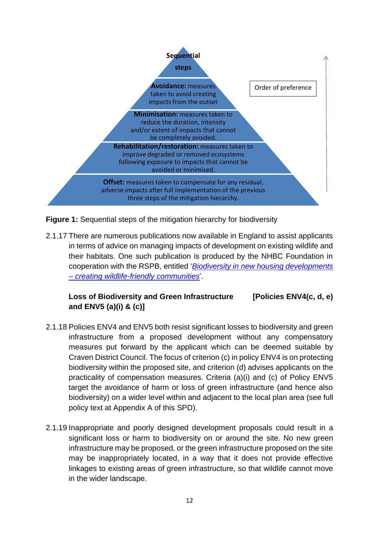

**Figure 1:** Sequential steps of the mitigation hierarchy for biodiversity

2.1.17 There are numerous publications now available in England to assist applicants in terms of advice on managing impacts of development on existing wildlife and their habitats. One such publication is produced by the NHBC Foundation in cooperation with the RSPB, entitled '*[Biodiversity in new housing developments](https://www.nhbcfoundation.org/publication/biodiversity-in-new-housing-developments-creating-wildlife-friendly-communities/)  – [creating wildlife-friendly communities](https://www.nhbcfoundation.org/publication/biodiversity-in-new-housing-developments-creating-wildlife-friendly-communities/)*'.

# **Loss of Biodiversity and Green Infrastructure [Policies ENV4(c, d, e) and ENV5 (a)(i) & (c)]**

- 2.1.18 Policies ENV4 and ENV5 both resist significant losses to biodiversity and green infrastructure from a proposed development without any compensatory measures put forward by the applicant which can be deemed suitable by Craven District Council. The focus of criterion (c) in policy ENV4 is on protecting biodiversity within the proposed site, and criterion (d) advises applicants on the practicality of compensation measures. Criteria (a)(i) and (c) of Policy ENV5 target the avoidance of harm or loss of green infrastructure (and hence also biodiversity) on a wider level within and adjacent to the local plan area (see full policy text at Appendix A of this SPD).
- 2.1.19 Inappropriate and poorly designed development proposals could result in a significant loss or harm to biodiversity on or around the site. No new green infrastructure may be proposed, or the green infrastructure proposed on the site may be inappropriately located, in a way that it does not provide effective linkages to existing areas of green infrastructure, so that wildlife cannot move in the wider landscape.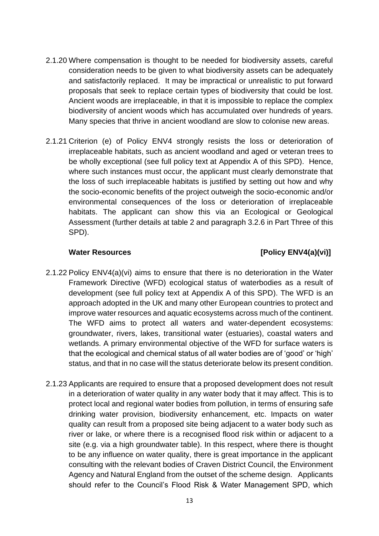- 2.1.20 Where compensation is thought to be needed for biodiversity assets, careful consideration needs to be given to what biodiversity assets can be adequately and satisfactorily replaced. It may be impractical or unrealistic to put forward proposals that seek to replace certain types of biodiversity that could be lost. Ancient woods are irreplaceable, in that it is impossible to replace the complex biodiversity of ancient woods which has accumulated over hundreds of years. Many species that thrive in ancient woodland are slow to colonise new areas.
- 2.1.21 Criterion (e) of Policy ENV4 strongly resists the loss or deterioration of irreplaceable habitats, such as ancient woodland and aged or veteran trees to be wholly exceptional (see full policy text at Appendix A of this SPD). Hence, where such instances must occur, the applicant must clearly demonstrate that the loss of such irreplaceable habitats is justified by setting out how and why the socio-economic benefits of the project outweigh the socio-economic and/or environmental consequences of the loss or deterioration of irreplaceable habitats. The applicant can show this via an Ecological or Geological Assessment (further details at table 2 and paragraph 3.2.6 in Part Three of this SPD).

# Water Resources **and EQUATER** [Policy ENV4(a)(vi)]

- 2.1.22 Policy ENV4(a)(vi) aims to ensure that there is no deterioration in the Water Framework Directive (WFD) ecological status of waterbodies as a result of development (see full policy text at Appendix A of this SPD). The WFD is an approach adopted in the UK and many other European countries to protect and improve water resources and aquatic ecosystems across much of the continent. The WFD aims to protect all waters and water-dependent ecosystems: groundwater, rivers, lakes, transitional water (estuaries), coastal waters and wetlands. A primary environmental objective of the WFD for surface waters is that the ecological and chemical status of all water bodies are of 'good' or 'high' status, and that in no case will the status deteriorate below its present condition.
- 2.1.23 Applicants are required to ensure that a proposed development does not result in a deterioration of water quality in any water body that it may affect. This is to protect local and regional water bodies from pollution, in terms of ensuring safe drinking water provision, biodiversity enhancement, etc. Impacts on water quality can result from a proposed site being adjacent to a water body such as river or lake, or where there is a recognised flood risk within or adjacent to a site (e.g. via a high groundwater table). In this respect, where there is thought to be any influence on water quality, there is great importance in the applicant consulting with the relevant bodies of Craven District Council, the Environment Agency and Natural England from the outset of the scheme design. Applicants should refer to the Council's Flood Risk & Water Management SPD, which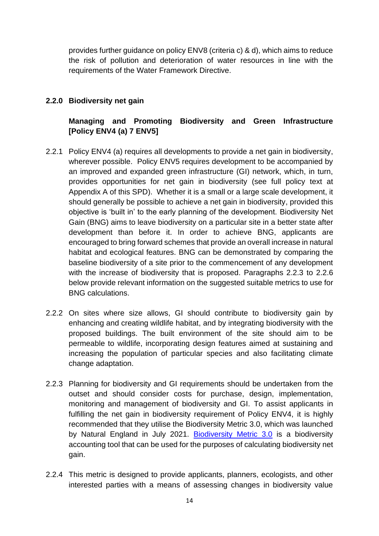provides further guidance on policy ENV8 (criteria c) & d), which aims to reduce the risk of pollution and deterioration of water resources in line with the requirements of the Water Framework Directive.

# **2.2.0 Biodiversity net gain**

# **Managing and Promoting Biodiversity and Green Infrastructure [Policy ENV4 (a) 7 ENV5]**

- 2.2.1 Policy ENV4 (a) requires all developments to provide a net gain in biodiversity, wherever possible. Policy ENV5 requires development to be accompanied by an improved and expanded green infrastructure (GI) network, which, in turn, provides opportunities for net gain in biodiversity (see full policy text at Appendix A of this SPD). Whether it is a small or a large scale development, it should generally be possible to achieve a net gain in biodiversity, provided this objective is 'built in' to the early planning of the development. Biodiversity Net Gain (BNG) aims to leave biodiversity on a particular site in a better state after development than before it. In order to achieve BNG, applicants are encouraged to bring forward schemes that provide an overall increase in natural habitat and ecological features. BNG can be demonstrated by comparing the baseline biodiversity of a site prior to the commencement of any development with the increase of biodiversity that is proposed. Paragraphs 2.2.3 to 2.2.6 below provide relevant information on the suggested suitable metrics to use for BNG calculations.
- 2.2.2 On sites where size allows, GI should contribute to biodiversity gain by enhancing and creating wildlife habitat, and by integrating biodiversity with the proposed buildings. The built environment of the site should aim to be permeable to wildlife, incorporating design features aimed at sustaining and increasing the population of particular species and also facilitating climate change adaptation.
- 2.2.3 Planning for biodiversity and GI requirements should be undertaken from the outset and should consider costs for purchase, design, implementation, monitoring and management of biodiversity and GI. To assist applicants in fulfilling the net gain in biodiversity requirement of Policy ENV4, it is highly recommended that they utilise the Biodiversity Metric 3.0, which was launched by Natural England in July 2021. [Biodiversity Metric 3.0](http://nepubprod.appspot.com/publication/6049804846366720) is a biodiversity accounting tool that can be used for the purposes of calculating biodiversity net gain.
- 2.2.4 This metric is designed to provide applicants, planners, ecologists, and other interested parties with a means of assessing changes in biodiversity value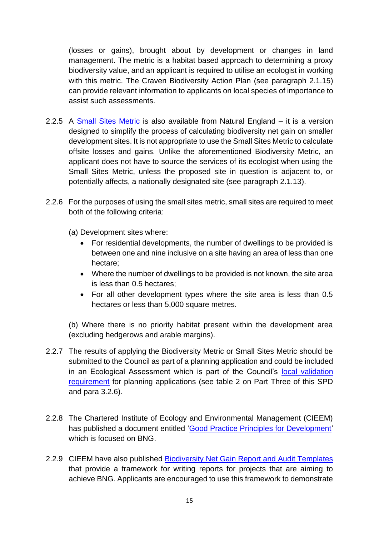(losses or gains), brought about by development or changes in land management. The metric is a habitat based approach to determining a proxy biodiversity value, and an applicant is required to utilise an ecologist in working with this metric. The Craven Biodiversity Action Plan (see paragraph 2.1.15) can provide relevant information to applicants on local species of importance to assist such assessments.

- 2.2.5 A [Small Sites Metric](http://nepubprod.appspot.com/publication/6047259574927360) is also available from Natural England it is a version designed to simplify the process of calculating biodiversity net gain on smaller development sites. It is not appropriate to use the Small Sites Metric to calculate offsite losses and gains. Unlike the aforementioned Biodiversity Metric, an applicant does not have to source the services of its ecologist when using the Small Sites Metric, unless the proposed site in question is adjacent to, or potentially affects, a nationally designated site (see paragraph 2.1.13).
- 2.2.6 For the purposes of using the small sites metric, small sites are required to meet both of the following criteria:
	- (a) Development sites where:
		- For residential developments, the number of dwellings to be provided is between one and nine inclusive on a site having an area of less than one hectare;
		- Where the number of dwellings to be provided is not known, the site area is less than 0.5 hectares;
		- For all other development types where the site area is less than 0.5 hectares or less than 5,000 square metres.

(b) Where there is no priority habitat present within the development area (excluding hedgerows and arable margins).

- 2.2.7 The results of applying the Biodiversity Metric or Small Sites Metric should be submitted to the Council as part of a planning application and could be included in an Ecological Assessment which is part of the Council's [local validation](https://www.cravendc.gov.uk/planning/planning-applications-and-notifications/national-and-local-planning-validation-requirements/local-information-requirements/ecologicalgeological-assessment/)  [requirement](https://www.cravendc.gov.uk/planning/planning-applications-and-notifications/national-and-local-planning-validation-requirements/local-information-requirements/ecologicalgeological-assessment/) for planning applications (see table 2 on Part Three of this SPD and para 3.2.6).
- 2.2.8 The Chartered Institute of Ecology and Environmental Management (CIEEM) has published a document entitled ['Good Practice Principles for Development'](https://cieem.net/resource/biodiversity-net-gain-good-practice-principles-for-development/) which is focused on BNG.
- 2.2.9 CIEEM have also published [Biodiversity Net Gain Report and Audit Templates](https://cieem.net/resource/biodiversity-net-gain-report-and-audit-templates/) that provide a framework for writing reports for projects that are aiming to achieve BNG. Applicants are encouraged to use this framework to demonstrate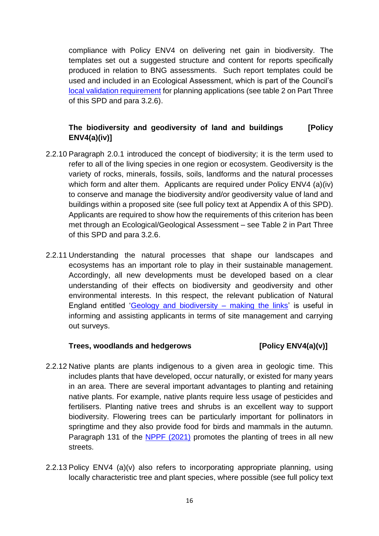compliance with Policy ENV4 on delivering net gain in biodiversity. The templates set out a suggested structure and content for reports specifically produced in relation to BNG assessments. Such report templates could be used and included in an Ecological Assessment, which is part of the Council's [local validation requirement](https://www.cravendc.gov.uk/planning/planning-applications-and-notifications/national-and-local-planning-validation-requirements/local-information-requirements/ecologicalgeological-assessment/) for planning applications (see table 2 on Part Three of this SPD and para 3.2.6).

# **The biodiversity and geodiversity of land and buildings [Policy ENV4(a)(iv)]**

- 2.2.10 Paragraph 2.0.1 introduced the concept of biodiversity; it is the term used to refer to all of the living species in one region or ecosystem. Geodiversity is the variety of rocks, minerals, fossils, soils, landforms and the natural processes which form and alter them. Applicants are required under Policy ENV4 (a)(iv) to conserve and manage the biodiversity and/or geodiversity value of land and buildings within a proposed site (see full policy text at Appendix A of this SPD). Applicants are required to show how the requirements of this criterion has been met through an Ecological/Geological Assessment – see Table 2 in Part Three of this SPD and para 3.2.6.
- 2.2.11 Understanding the natural processes that shape our landscapes and ecosystems has an important role to play in their sustainable management. Accordingly, all new developments must be developed based on a clear understanding of their effects on biodiversity and geodiversity and other environmental interests. In this respect, the relevant publication of Natural England entitled ['Geology and biodiversity –](http://publications.naturalengland.org.uk/publication/73047?category=30050) making the links' is useful in informing and assisting applicants in terms of site management and carrying out surveys.

#### **Trees, woodlands and hedgerows [Policy ENV4(a)(v)]**

- 2.2.12 Native plants are plants indigenous to a given area in geologic time. This includes plants that have developed, occur naturally, or existed for many years in an area. There are several important advantages to planting and retaining native plants. For example, native plants require less usage of pesticides and fertilisers. Planting native trees and shrubs is an excellent way to support biodiversity. Flowering trees can be particularly important for pollinators in springtime and they also provide food for birds and mammals in the autumn. Paragraph 131 of the [NPPF \(2021\)](https://www.gov.uk/government/publications/national-planning-policy-framework--2) promotes the planting of trees in all new streets.
- 2.2.13 Policy ENV4 (a)(v) also refers to incorporating appropriate planning, using locally characteristic tree and plant species, where possible (see full policy text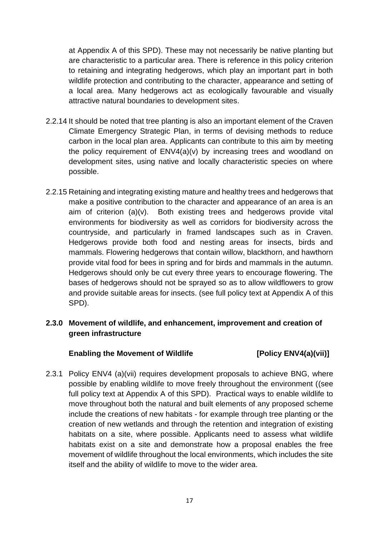at Appendix A of this SPD). These may not necessarily be native planting but are characteristic to a particular area. There is reference in this policy criterion to retaining and integrating hedgerows, which play an important part in both wildlife protection and contributing to the character, appearance and setting of a local area. Many hedgerows act as ecologically favourable and visually attractive natural boundaries to development sites.

- 2.2.14 It should be noted that tree planting is also an important element of the Craven Climate Emergency Strategic Plan, in terms of devising methods to reduce carbon in the local plan area. Applicants can contribute to this aim by meeting the policy requirement of ENV4(a)(v) by increasing trees and woodland on development sites, using native and locally characteristic species on where possible.
- 2.2.15 Retaining and integrating existing mature and healthy trees and hedgerows that make a positive contribution to the character and appearance of an area is an aim of criterion (a)(v). Both existing trees and hedgerows provide vital environments for biodiversity as well as corridors for biodiversity across the countryside, and particularly in framed landscapes such as in Craven. Hedgerows provide both food and nesting areas for insects, birds and mammals. Flowering hedgerows that contain willow, blackthorn, and hawthorn provide vital food for bees in spring and for birds and mammals in the autumn. Hedgerows should only be cut every three years to encourage flowering. The bases of hedgerows should not be sprayed so as to allow wildflowers to grow and provide suitable areas for insects. (see full policy text at Appendix A of this SPD).

# **2.3.0 Movement of wildlife, and enhancement, improvement and creation of green infrastructure**

# Enabling the Movement of Wildlife **[Policy ENV4(a)(vii)**]

2.3.1 Policy ENV4 (a)(vii) requires development proposals to achieve BNG, where possible by enabling wildlife to move freely throughout the environment ((see full policy text at Appendix A of this SPD). Practical ways to enable wildlife to move throughout both the natural and built elements of any proposed scheme include the creations of new habitats - for example through tree planting or the creation of new wetlands and through the retention and integration of existing habitats on a site, where possible. Applicants need to assess what wildlife habitats exist on a site and demonstrate how a proposal enables the free movement of wildlife throughout the local environments, which includes the site itself and the ability of wildlife to move to the wider area.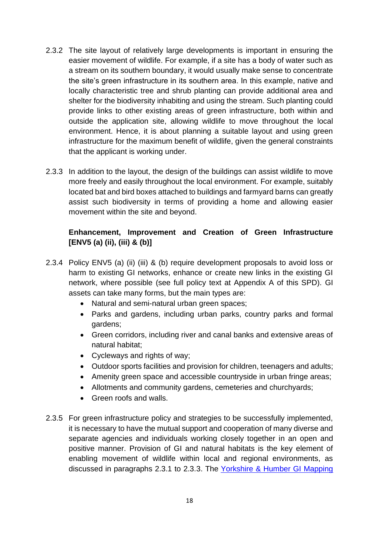- 2.3.2 The site layout of relatively large developments is important in ensuring the easier movement of wildlife. For example, if a site has a body of water such as a stream on its southern boundary, it would usually make sense to concentrate the site's green infrastructure in its southern area. In this example, native and locally characteristic tree and shrub planting can provide additional area and shelter for the biodiversity inhabiting and using the stream. Such planting could provide links to other existing areas of green infrastructure, both within and outside the application site, allowing wildlife to move throughout the local environment. Hence, it is about planning a suitable layout and using green infrastructure for the maximum benefit of wildlife, given the general constraints that the applicant is working under.
- 2.3.3 In addition to the layout, the design of the buildings can assist wildlife to move more freely and easily throughout the local environment. For example, suitably located bat and bird boxes attached to buildings and farmyard barns can greatly assist such biodiversity in terms of providing a home and allowing easier movement within the site and beyond.

# **Enhancement, Improvement and Creation of Green Infrastructure [ENV5 (a) (ii), (iii) & (b)]**

- 2.3.4 Policy ENV5 (a) (ii) (iii) & (b) require development proposals to avoid loss or harm to existing GI networks, enhance or create new links in the existing GI network, where possible (see full policy text at Appendix A of this SPD). GI assets can take many forms, but the main types are:
	- Natural and semi-natural urban green spaces:
	- Parks and gardens, including urban parks, country parks and formal gardens;
	- Green corridors, including river and canal banks and extensive areas of natural habitat;
	- Cycleways and rights of way;
	- Outdoor sports facilities and provision for children, teenagers and adults;
	- Amenity green space and accessible countryside in urban fringe areas;
	- Allotments and community gardens, cemeteries and churchyards;
	- Green roofs and walls.
- 2.3.5 For green infrastructure policy and strategies to be successfully implemented, it is necessary to have the mutual support and cooperation of many diverse and separate agencies and individuals working closely together in an open and positive manner. Provision of GI and natural habitats is the key element of enabling movement of wildlife within local and regional environments, as discussed in paragraphs 2.3.1 to 2.3.3. The [Yorkshire & Humber GI Mapping](https://webarchive.nationalarchives.gov.uk/ukgwa/20140605112209/http:/www.naturalengland.org.uk/regions/yorkshire_and_the_humber/ourwork/yandhgreeninfrastructuremappingproject.aspx)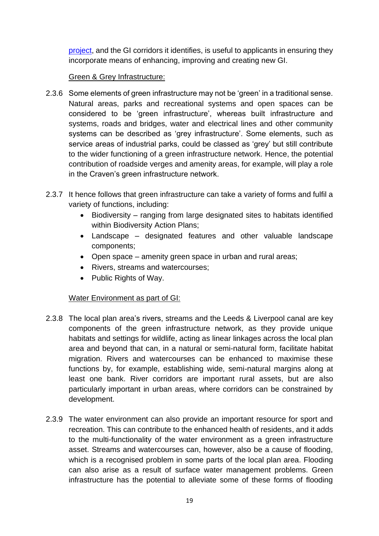[project,](https://webarchive.nationalarchives.gov.uk/ukgwa/20140605112209/http:/www.naturalengland.org.uk/regions/yorkshire_and_the_humber/ourwork/yandhgreeninfrastructuremappingproject.aspx) and the GI corridors it identifies, is useful to applicants in ensuring they incorporate means of enhancing, improving and creating new GI.

# Green & Grey Infrastructure:

- 2.3.6 Some elements of green infrastructure may not be 'green' in a traditional sense. Natural areas, parks and recreational systems and open spaces can be considered to be 'green infrastructure', whereas built infrastructure and systems, roads and bridges, water and electrical lines and other community systems can be described as 'grey infrastructure'. Some elements, such as service areas of industrial parks, could be classed as 'grey' but still contribute to the wider functioning of a green infrastructure network. Hence, the potential contribution of roadside verges and amenity areas, for example, will play a role in the Craven's green infrastructure network.
- 2.3.7 It hence follows that green infrastructure can take a variety of forms and fulfil a variety of functions, including:
	- Biodiversity ranging from large designated sites to habitats identified within Biodiversity Action Plans;
	- Landscape designated features and other valuable landscape components;
	- Open space amenity green space in urban and rural areas;
	- Rivers, streams and watercourses;
	- Public Rights of Way.

# Water Environment as part of GI:

- 2.3.8 The local plan area's rivers, streams and the Leeds & Liverpool canal are key components of the green infrastructure network, as they provide unique habitats and settings for wildlife, acting as linear linkages across the local plan area and beyond that can, in a natural or semi-natural form, facilitate habitat migration. Rivers and watercourses can be enhanced to maximise these functions by, for example, establishing wide, semi-natural margins along at least one bank. River corridors are important rural assets, but are also particularly important in urban areas, where corridors can be constrained by development.
- 2.3.9 The water environment can also provide an important resource for sport and recreation. This can contribute to the enhanced health of residents, and it adds to the multi-functionality of the water environment as a green infrastructure asset. Streams and watercourses can, however, also be a cause of flooding, which is a recognised problem in some parts of the local plan area. Flooding can also arise as a result of surface water management problems. Green infrastructure has the potential to alleviate some of these forms of flooding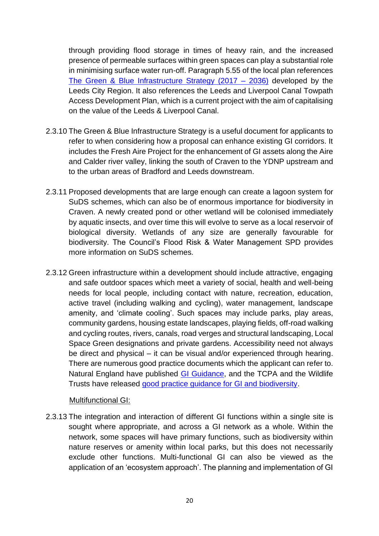through providing flood storage in times of heavy rain, and the increased presence of permeable surfaces within green spaces can play a substantial role in minimising surface water run-off. Paragraph 5.55 of the local plan references [The Green & Blue Infrastructure Strategy \(2017 –](https://www.westyorks-ca.gov.uk/growing-the-economy/strategic-economic-framework/policies-and-strategies/green-and-blue-infrastructure/) 2036) developed by the Leeds City Region. It also references the Leeds and Liverpool Canal Towpath Access Development Plan, which is a current project with the aim of capitalising on the value of the Leeds & Liverpool Canal.

- 2.3.10 The Green & Blue Infrastructure Strategy is a useful document for applicants to refer to when considering how a proposal can enhance existing GI corridors. It includes the Fresh Aire Project for the enhancement of GI assets along the Aire and Calder river valley, linking the south of Craven to the YDNP upstream and to the urban areas of Bradford and Leeds downstream.
- 2.3.11 Proposed developments that are large enough can create a lagoon system for SuDS schemes, which can also be of enormous importance for biodiversity in Craven. A newly created pond or other wetland will be colonised immediately by aquatic insects, and over time this will evolve to serve as a local reservoir of biological diversity. Wetlands of any size are generally favourable for biodiversity. The Council's Flood Risk & Water Management SPD provides more information on SuDS schemes.
- 2.3.12 Green infrastructure within a development should include attractive, engaging and safe outdoor spaces which meet a variety of social, health and well-being needs for local people, including contact with nature, recreation, education, active travel (including walking and cycling), water management, landscape amenity, and 'climate cooling'. Such spaces may include parks, play areas, community gardens, housing estate landscapes, playing fields, off-road walking and cycling routes, rivers, canals, road verges and structural landscaping, Local Space Green designations and private gardens. Accessibility need not always be direct and physical – it can be visual and/or experienced through hearing. There are numerous good practice documents which the applicant can refer to. Natural England have published [GI Guidance,](http://publications.naturalengland.org.uk/publication/35033) and the TCPA and the Wildlife Trusts have released [good practice guidance for GI and biodiversity.](https://www.tcpa.org.uk/Handlers/Download.ashx?IDMF=34c44ebf-e1be-4147-be7d-89aaf174c3ea)

#### Multifunctional GI:

2.3.13 The integration and interaction of different GI functions within a single site is sought where appropriate, and across a GI network as a whole. Within the network, some spaces will have primary functions, such as biodiversity within nature reserves or amenity within local parks, but this does not necessarily exclude other functions. Multi-functional GI can also be viewed as the application of an 'ecosystem approach'. The planning and implementation of GI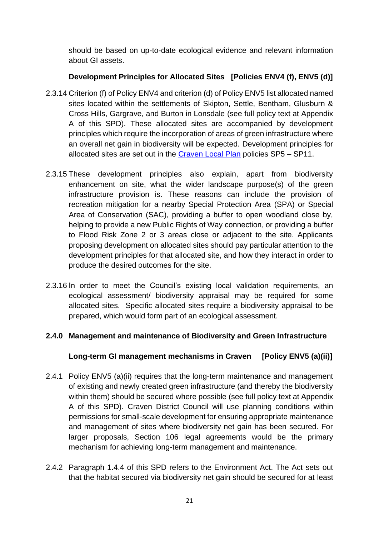should be based on up-to-date ecological evidence and relevant information about GI assets.

# **Development Principles for Allocated Sites [Policies ENV4 (f), ENV5 (d)]**

- 2.3.14 Criterion (f) of Policy ENV4 and criterion (d) of Policy ENV5 list allocated named sites located within the settlements of Skipton, Settle, Bentham, Glusburn & Cross Hills, Gargrave, and Burton in Lonsdale (see full policy text at Appendix A of this SPD). These allocated sites are accompanied by development principles which require the incorporation of areas of green infrastructure where an overall net gain in biodiversity will be expected. Development principles for allocated sites are set out in the [Craven Local Plan](https://www.cravendc.gov.uk/planning/craven-local-plan/) policies SP5 – SP11.
- 2.3.15 These development principles also explain, apart from biodiversity enhancement on site, what the wider landscape purpose(s) of the green infrastructure provision is. These reasons can include the provision of recreation mitigation for a nearby Special Protection Area (SPA) or Special Area of Conservation (SAC), providing a buffer to open woodland close by, helping to provide a new Public Rights of Way connection, or providing a buffer to Flood Risk Zone 2 or 3 areas close or adjacent to the site. Applicants proposing development on allocated sites should pay particular attention to the development principles for that allocated site, and how they interact in order to produce the desired outcomes for the site.
- 2.3.16 In order to meet the Council's existing local validation requirements, an ecological assessment/ biodiversity appraisal may be required for some allocated sites. Specific allocated sites require a biodiversity appraisal to be prepared, which would form part of an ecological assessment.

# **2.4.0 Management and maintenance of Biodiversity and Green Infrastructure**

# **Long-term GI management mechanisms in Craven [Policy ENV5 (a)(ii)]**

- 2.4.1 Policy ENV5 (a)(ii) requires that the long-term maintenance and management of existing and newly created green infrastructure (and thereby the biodiversity within them) should be secured where possible (see full policy text at Appendix A of this SPD). Craven District Council will use planning conditions within permissions for small-scale development for ensuring appropriate maintenance and management of sites where biodiversity net gain has been secured. For larger proposals, Section 106 legal agreements would be the primary mechanism for achieving long-term management and maintenance.
- 2.4.2 Paragraph 1.4.4 of this SPD refers to the Environment Act. The Act sets out that the habitat secured via biodiversity net gain should be secured for at least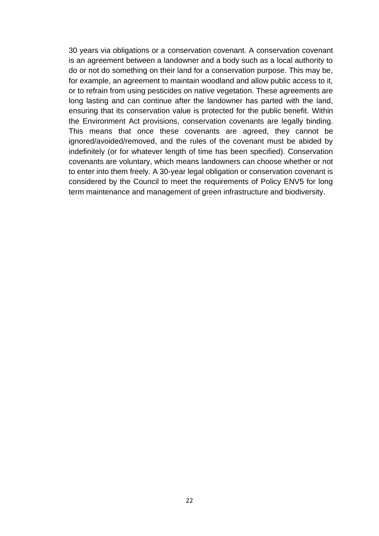30 years via obligations or a conservation covenant. A conservation covenant is an agreement between a landowner and a body such as a local authority to do or not do something on their land for a conservation purpose. This may be, for example, an agreement to maintain woodland and allow public access to it, or to refrain from using pesticides on native vegetation. These agreements are long lasting and can continue after the landowner has parted with the land, ensuring that its conservation value is protected for the public benefit. Within the Environment Act provisions, conservation covenants are legally binding. This means that once these covenants are agreed, they cannot be ignored/avoided/removed, and the rules of the covenant must be abided by indefinitely (or for whatever length of time has been specified). Conservation covenants are voluntary, which means landowners can choose whether or not to enter into them freely. A 30-year legal obligation or conservation covenant is considered by the Council to meet the requirements of Policy ENV5 for long term maintenance and management of green infrastructure and biodiversity.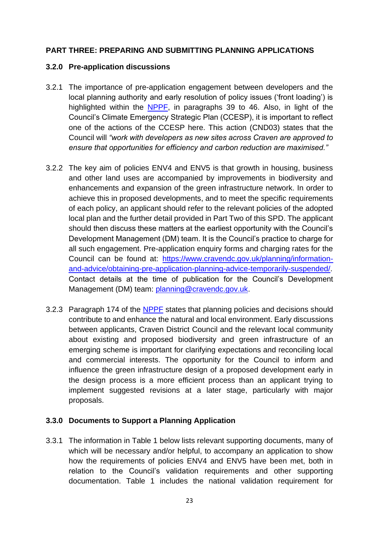# **PART THREE: PREPARING AND SUBMITTING PLANNING APPLICATIONS**

### **3.2.0 Pre-application discussions**

- 3.2.1 The importance of pre-application engagement between developers and the local planning authority and early resolution of policy issues ('front loading') is highlighted within the [NPPF,](https://www.gov.uk/government/publications/national-planning-policy-framework--2) in paragraphs 39 to 46. Also, in light of the Council's Climate Emergency Strategic Plan (CCESP), it is important to reflect one of the actions of the CCESP here. This action (CND03) states that the Council will *"work with developers as new sites across Craven are approved to ensure that opportunities for efficiency and carbon reduction are maximised."*
- 3.2.2 The key aim of policies ENV4 and ENV5 is that growth in housing, business and other land uses are accompanied by improvements in biodiversity and enhancements and expansion of the green infrastructure network. In order to achieve this in proposed developments, and to meet the specific requirements of each policy, an applicant should refer to the relevant policies of the adopted local plan and the further detail provided in Part Two of this SPD. The applicant should then discuss these matters at the earliest opportunity with the Council's Development Management (DM) team. It is the Council's practice to charge for all such engagement. Pre-application enquiry forms and charging rates for the Council can be found at: [https://www.cravendc.gov.uk/planning/information](https://www.cravendc.gov.uk/planning/information-and-advice/obtaining-pre-application-planning-advice-temporarily-suspended/)[and-advice/obtaining-pre-application-planning-advice-temporarily-suspended/.](https://www.cravendc.gov.uk/planning/information-and-advice/obtaining-pre-application-planning-advice-temporarily-suspended/) Contact details at the time of publication for the Council's Development Management (DM) team: [planning@cravendc.gov.uk.](mailto:planning@cravendc.gov.uk)
- 3.2.3 Paragraph 174 of the [NPPF](https://www.gov.uk/government/publications/national-planning-policy-framework--2) states that planning policies and decisions should contribute to and enhance the natural and local environment. Early discussions between applicants, Craven District Council and the relevant local community about existing and proposed biodiversity and green infrastructure of an emerging scheme is important for clarifying expectations and reconciling local and commercial interests. The opportunity for the Council to inform and influence the green infrastructure design of a proposed development early in the design process is a more efficient process than an applicant trying to implement suggested revisions at a later stage, particularly with major proposals.

# **3.3.0 Documents to Support a Planning Application**

3.3.1 The information in Table 1 below lists relevant supporting documents, many of which will be necessary and/or helpful, to accompany an application to show how the requirements of policies ENV4 and ENV5 have been met, both in relation to the Council's validation requirements and other supporting documentation. Table 1 includes the national validation requirement for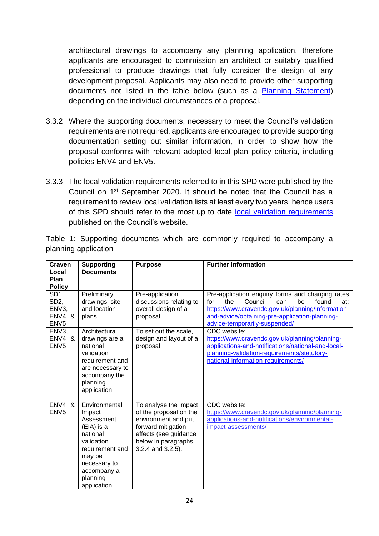architectural drawings to accompany any planning application, therefore applicants are encouraged to commission an architect or suitably qualified professional to produce drawings that fully consider the design of any development proposal. Applicants may also need to provide other supporting documents not listed in the table below (such as a [Planning Statement\)](https://www.cravendc.gov.uk/planning/planning-applications-and-notifications/national-and-local-planning-validation-requirements/local-information-requirements/planning-statement/) depending on the individual circumstances of a proposal.

- 3.3.2 Where the supporting documents, necessary to meet the Council's validation requirements are not required, applicants are encouraged to provide supporting documentation setting out similar information, in order to show how the proposal conforms with relevant adopted local plan policy criteria, including policies ENV4 and ENV5.
- 3.3.3 The local validation requirements referred to in this SPD were published by the Council on 1st September 2020. It should be noted that the Council has a requirement to review local validation lists at least every two years, hence users of this SPD should refer to the most up to date [local validation requirements](https://www.cravendc.gov.uk/planning/planning-applications-and-notifications/national-and-local-planning-validation-requirements/local-information-requirements/) published on the Council's website.

Table 1: Supporting documents which are commonly required to accompany a planning application

| Craven<br>Local                                                             | <b>Supporting</b><br><b>Documents</b>                                                                                                                                | <b>Purpose</b>                                                                                                                                                    | <b>Further Information</b>                                                                                                                                                                                                                     |
|-----------------------------------------------------------------------------|----------------------------------------------------------------------------------------------------------------------------------------------------------------------|-------------------------------------------------------------------------------------------------------------------------------------------------------------------|------------------------------------------------------------------------------------------------------------------------------------------------------------------------------------------------------------------------------------------------|
| Plan<br><b>Policy</b>                                                       |                                                                                                                                                                      |                                                                                                                                                                   |                                                                                                                                                                                                                                                |
| SD <sub>1</sub> ,<br>SD <sub>2</sub><br>ENV3,<br>ENV4 &<br>ENV <sub>5</sub> | Preliminary<br>drawings, site<br>and location<br>plans.                                                                                                              | Pre-application<br>discussions relating to<br>overall design of a<br>proposal.                                                                                    | Pre-application enquiry forms and charging rates<br>the<br>Council<br>be<br>found<br>for<br>can<br>at:<br>https://www.cravendc.gov.uk/planning/information-<br>and-advice/obtaining-pre-application-planning-<br>advice-temporarily-suspended/ |
| ENV3,<br>ENV4 &<br>ENV <sub>5</sub>                                         | Architectural<br>drawings are a<br>national<br>validation<br>requirement and<br>are necessary to<br>accompany the<br>planning<br>application.                        | To set out the scale,<br>design and layout of a<br>proposal.                                                                                                      | CDC website:<br>https://www.cravendc.gov.uk/planning/planning-<br>applications-and-notifications/national-and-local-<br>planning-validation-requirements/statutory-<br>national-information-requirements/                                      |
| $ENV4$ &<br>ENV <sub>5</sub>                                                | Environmental<br>Impact<br>Assessment<br>(EIA) is a<br>national<br>validation<br>requirement and<br>may be<br>necessary to<br>accompany a<br>planning<br>application | To analyse the impact<br>of the proposal on the<br>environment and put<br>forward mitigation<br>effects (see guidance<br>below in paragraphs<br>3.2.4 and 3.2.5). | CDC website:<br>https://www.cravendc.gov.uk/planning/planning-<br>applications-and-notifications/environmental-<br>impact-assessments/                                                                                                         |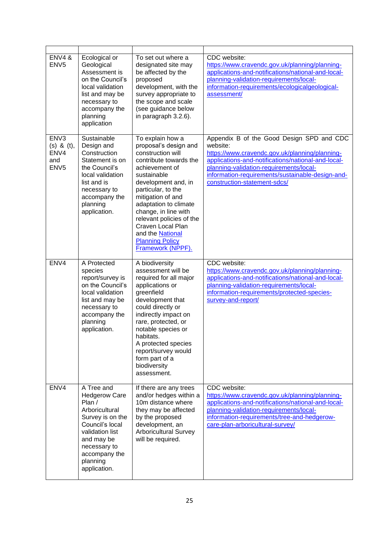| <b>ENV4 &amp;</b><br>ENV <sub>5</sub>                                  | Ecological or<br>Geological<br>Assessment is<br>on the Council's<br>local validation<br>list and may be<br>necessary to<br>accompany the<br>planning<br>application                                 | To set out where a<br>designated site may<br>be affected by the<br>proposed<br>development, with the<br>survey appropriate to<br>the scope and scale<br>(see guidance below<br>in paragraph 3.2.6).                                                                                                                                                              | CDC website:<br>https://www.cravendc.gov.uk/planning/planning-<br>applications-and-notifications/national-and-local-<br>planning-validation-requirements/local-<br>information-requirements/ecologicalgeological-<br>assessment/                                                             |
|------------------------------------------------------------------------|-----------------------------------------------------------------------------------------------------------------------------------------------------------------------------------------------------|------------------------------------------------------------------------------------------------------------------------------------------------------------------------------------------------------------------------------------------------------------------------------------------------------------------------------------------------------------------|----------------------------------------------------------------------------------------------------------------------------------------------------------------------------------------------------------------------------------------------------------------------------------------------|
| ENV <sub>3</sub><br>$(s)$ & $(t)$ ,<br>ENV4<br>and<br>ENV <sub>5</sub> | Sustainable<br>Design and<br>Construction<br>Statement is on<br>the Council's<br>local validation<br>list and is<br>necessary to<br>accompany the<br>planning<br>application.                       | To explain how a<br>proposal's design and<br>construction will<br>contribute towards the<br>achievement of<br>sustainable<br>development and, in<br>particular, to the<br>mitigation of and<br>adaptation to climate<br>change, in line with<br>relevant policies of the<br>Craven Local Plan<br>and the National<br><b>Planning Policy</b><br>Framework (NPPF). | Appendix B of the Good Design SPD and CDC<br>website:<br>https://www.cravendc.gov.uk/planning/planning-<br>applications-and-notifications/national-and-local-<br>planning-validation-requirements/local-<br>information-requirements/sustainable-design-and-<br>construction-statement-sdcs/ |
| ENV4                                                                   | A Protected<br>species<br>report/survey is<br>on the Council's<br>local validation<br>list and may be<br>necessary to<br>accompany the<br>planning<br>application.                                  | A biodiversity<br>assessment will be<br>required for all major<br>applications or<br>greenfield<br>development that<br>could directly or<br>indirectly impact on<br>rare, protected, or<br>notable species or<br>habitats.<br>A protected species<br>report/survey would<br>form part of a<br>biodiversity<br>assessment.                                        | CDC website:<br>https://www.cravendc.gov.uk/planning/planning-<br>applications-and-notifications/national-and-local-<br>planning-validation-requirements/local-<br>information-requirements/protected-species-<br>survey-and-report/                                                         |
| ENV4                                                                   | A Tree and<br><b>Hedgerow Care</b><br>Plan /<br>Arboricultural<br>Survey is on the<br>Council's local<br>validation list<br>and may be<br>necessary to<br>accompany the<br>planning<br>application. | If there are any trees<br>and/or hedges within a<br>10m distance where<br>they may be affected<br>by the proposed<br>development, an<br><b>Arboricultural Survey</b><br>will be required.                                                                                                                                                                        | CDC website:<br>https://www.cravendc.gov.uk/planning/planning-<br>applications-and-notifications/national-and-local-<br>planning-validation-requirements/local-<br>information-requirements/tree-and-hedgerow-<br>care-plan-arboricultural-survey/                                           |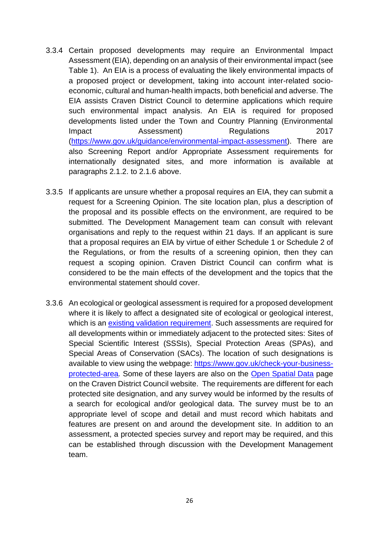- 3.3.4 Certain proposed developments may require an Environmental Impact Assessment (EIA), depending on an analysis of their environmental impact (see Table 1). An EIA is a process of evaluating the likely environmental impacts of a proposed project or development, taking into account inter-related socioeconomic, cultural and human-health impacts, both beneficial and adverse. The EIA assists Craven District Council to determine applications which require such environmental impact analysis. An EIA is required for proposed developments listed under the Town and Country Planning (Environmental **Impact** Assessment) Regulations 2017 [\(https://www.gov.uk/guidance/environmental-impact-assessment\)](https://www.gov.uk/guidance/environmental-impact-assessment). There are also Screening Report and/or Appropriate Assessment requirements for internationally designated sites, and more information is available at paragraphs 2.1.2. to 2.1.6 above.
- 3.3.5 If applicants are unsure whether a proposal requires an EIA, they can submit a request for a Screening Opinion. The site location plan, plus a description of the proposal and its possible effects on the environment, are required to be submitted. The Development Management team can consult with relevant organisations and reply to the request within 21 days. If an applicant is sure that a proposal requires an EIA by virtue of either Schedule 1 or Schedule 2 of the Regulations, or from the results of a screening opinion, then they can request a scoping opinion. Craven District Council can confirm what is considered to be the main effects of the development and the topics that the environmental statement should cover.
- 3.3.6 An ecological or geological assessment is required for a proposed development where it is likely to affect a designated site of ecological or geological interest, which is an [existing validation requirement.](https://www.cravendc.gov.uk/planning/planning-applications-and-notifications/national-and-local-planning-validation-requirements/local-information-requirements/) Such assessments are required for all developments within or immediately adjacent to the protected sites: Sites of Special Scientific Interest (SSSIs), Special Protection Areas (SPAs), and Special Areas of Conservation (SACs). The location of such designations is available to view using the webpage: [https://www.gov.uk/check-your-business](https://www.gov.uk/check-your-business-protected-area)[protected-area](https://www.gov.uk/check-your-business-protected-area)*.* Some of these layers are also on the [Open Spatial Data](https://data-cravendc.opendata.arcgis.com/) page on the Craven District Council website. The requirements are different for each protected site designation, and any survey would be informed by the results of a search for ecological and/or geological data. The survey must be to an appropriate level of scope and detail and must record which habitats and features are present on and around the development site. In addition to an assessment, a protected species survey and report may be required, and this can be established through discussion with the Development Management team.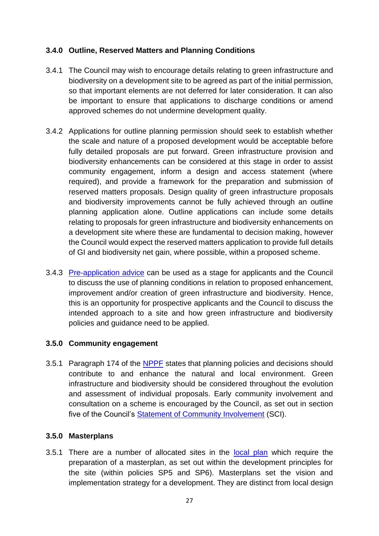# **3.4.0 Outline, Reserved Matters and Planning Conditions**

- 3.4.1 The Council may wish to encourage details relating to green infrastructure and biodiversity on a development site to be agreed as part of the initial permission, so that important elements are not deferred for later consideration. It can also be important to ensure that applications to discharge conditions or amend approved schemes do not undermine development quality.
- 3.4.2 Applications for outline planning permission should seek to establish whether the scale and nature of a proposed development would be acceptable before fully detailed proposals are put forward. Green infrastructure provision and biodiversity enhancements can be considered at this stage in order to assist community engagement, inform a design and access statement (where required), and provide a framework for the preparation and submission of reserved matters proposals. Design quality of green infrastructure proposals and biodiversity improvements cannot be fully achieved through an outline planning application alone. Outline applications can include some details relating to proposals for green infrastructure and biodiversity enhancements on a development site where these are fundamental to decision making, however the Council would expect the reserved matters application to provide full details of GI and biodiversity net gain, where possible, within a proposed scheme.
- 3.4.3 [Pre-application advice](https://www.cravendc.gov.uk/planning/information-and-advice/obtaining-pre-application-planning-advice-temporarily-suspended/) can be used as a stage for applicants and the Council to discuss the use of planning conditions in relation to proposed enhancement, improvement and/or creation of green infrastructure and biodiversity. Hence, this is an opportunity for prospective applicants and the Council to discuss the intended approach to a site and how green infrastructure and biodiversity policies and guidance need to be applied.

# **3.5.0 Community engagement**

3.5.1 Paragraph 174 of the [NPPF](https://www.gov.uk/government/publications/national-planning-policy-framework--2) states that planning policies and decisions should contribute to and enhance the natural and local environment. Green infrastructure and biodiversity should be considered throughout the evolution and assessment of individual proposals. Early community involvement and consultation on a scheme is encouraged by the Council, as set out in section five of the Council's [Statement of Community Involvement](https://www.cravendc.gov.uk/planning/statement-of-community-involvement/) (SCI).

# **3.5.0 Masterplans**

3.5.1 There are a number of allocated sites in the [local plan](https://www.cravendc.gov.uk/planning/craven-local-plan/) which require the preparation of a masterplan, as set out within the development principles for the site (within policies SP5 and SP6). Masterplans set the vision and implementation strategy for a development. They are distinct from local design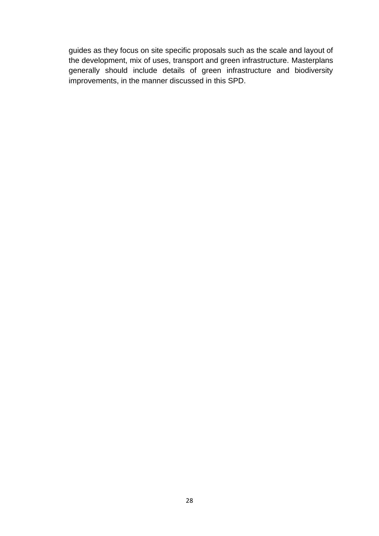guides as they focus on site specific proposals such as the scale and layout of the development, mix of uses, transport and green infrastructure. Masterplans generally should include details of green infrastructure and biodiversity improvements, in the manner discussed in this SPD.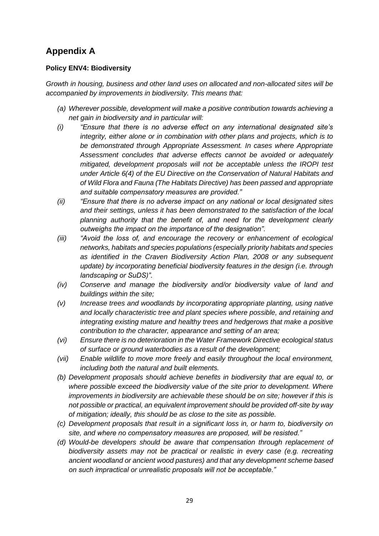# **Appendix A**

### **Policy ENV4: Biodiversity**

*Growth in housing, business and other land uses on allocated and non-allocated sites will be accompanied by improvements in biodiversity. This means that:*

- *(a) Wherever possible, development will make a positive contribution towards achieving a net gain in biodiversity and in particular will:*
- *(i) "Ensure that there is no adverse effect on any international designated site's integrity, either alone or in combination with other plans and projects, which is to be demonstrated through Appropriate Assessment. In cases where Appropriate Assessment concludes that adverse effects cannot be avoided or adequately mitigated, development proposals will not be acceptable unless the IROPI test under Article 6(4) of the EU Directive on the Conservation of Natural Habitats and of Wild Flora and Fauna (The Habitats Directive) has been passed and appropriate and suitable compensatory measures are provided."*
- *(ii) "Ensure that there is no adverse impact on any national or local designated sites and their settings, unless it has been demonstrated to the satisfaction of the local planning authority that the benefit of, and need for the development clearly outweighs the impact on the importance of the designation".*
- *(iii) "Avoid the loss of, and encourage the recovery or enhancement of ecological networks, habitats and species populations (especially priority habitats and species as identified in the Craven Biodiversity Action Plan, 2008 or any subsequent update) by incorporating beneficial biodiversity features in the design (i.e. through landscaping or SuDS)".*
- *(iv) Conserve and manage the biodiversity and/or biodiversity value of land and buildings within the site;*
- *(v) Increase trees and woodlands by incorporating appropriate planting, using native and locally characteristic tree and plant species where possible, and retaining and integrating existing mature and healthy trees and hedgerows that make a positive contribution to the character, appearance and setting of an area;*
- *(vi) Ensure there is no deterioration in the Water Framework Directive ecological status of surface or ground waterbodies as a result of the development;*
- *(vii) Enable wildlife to move more freely and easily throughout the local environment, including both the natural and built elements.*
- *(b) Development proposals should achieve benefits in biodiversity that are equal to, or where possible exceed the biodiversity value of the site prior to development. Where improvements in biodiversity are achievable these should be on site; however if this is not possible or practical, an equivalent improvement should be provided off-site by way of mitigation; ideally, this should be as close to the site as possible.*
- *(c) Development proposals that result in a significant loss in, or harm to, biodiversity on site, and where no compensatory measures are proposed, will be resisted."*
- *(d) Would-be developers should be aware that compensation through replacement of biodiversity assets may not be practical or realistic in every case (e.g. recreating ancient woodland or ancient wood pastures) and that any development scheme based on such impractical or unrealistic proposals will not be acceptable."*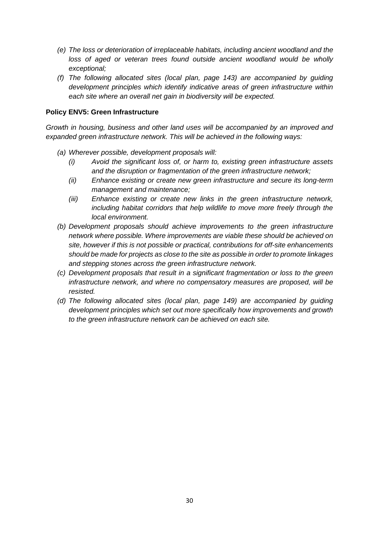- *(e) The loss or deterioration of irreplaceable habitats, including ancient woodland and the*  loss of aged or veteran trees found outside ancient woodland would be wholly *exceptional;*
- *(f) The following allocated sites (local plan, page 143) are accompanied by guiding development principles which identify indicative areas of green infrastructure within each site where an overall net gain in biodiversity will be expected.*

#### **Policy ENV5: Green Infrastructure**

*Growth in housing, business and other land uses will be accompanied by an improved and expanded green infrastructure network. This will be achieved in the following ways:*

- *(a) Wherever possible, development proposals will:*
	- *(i) Avoid the significant loss of, or harm to, existing green infrastructure assets and the disruption or fragmentation of the green infrastructure network;*
	- *(ii) Enhance existing or create new green infrastructure and secure its long-term management and maintenance;*
	- *(iii) Enhance existing or create new links in the green infrastructure network, including habitat corridors that help wildlife to move more freely through the local environment.*
- *(b) Development proposals should achieve improvements to the green infrastructure network where possible. Where improvements are viable these should be achieved on site, however if this is not possible or practical, contributions for off-site enhancements should be made for projects as close to the site as possible in order to promote linkages and stepping stones across the green infrastructure network.*
- *(c) Development proposals that result in a significant fragmentation or loss to the green infrastructure network, and where no compensatory measures are proposed, will be resisted.*
- *(d) The following allocated sites (local plan, page 149) are accompanied by guiding development principles which set out more specifically how improvements and growth to the green infrastructure network can be achieved on each site.*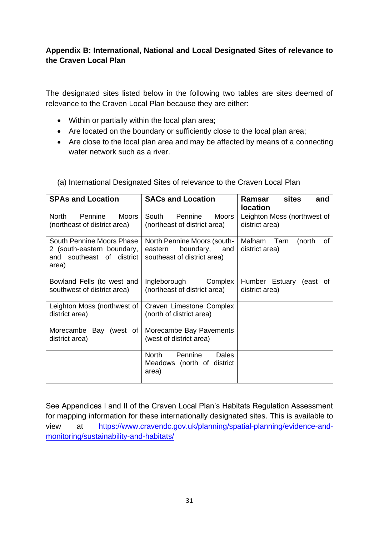# **Appendix B: International, National and Local Designated Sites of relevance to the Craven Local Plan**

The designated sites listed below in the following two tables are sites deemed of relevance to the Craven Local Plan because they are either:

- Within or partially within the local plan area;
- Are located on the boundary or sufficiently close to the local plan area;
- Are close to the local plan area and may be affected by means of a connecting water network such as a river.

| <b>SPAs and Location</b>                                                                      | <b>SACs and Location</b>                                                               | <b>sites</b><br>Ramsar<br>and<br><b>location</b> |
|-----------------------------------------------------------------------------------------------|----------------------------------------------------------------------------------------|--------------------------------------------------|
| North<br>Pennine<br><b>Moors</b><br>(northeast of district area)                              | South<br>Pennine<br><b>Moors</b><br>(northeast of district area)                       | Leighton Moss (northwest of<br>district area)    |
| South Pennine Moors Phase<br>2 (south-eastern boundary,<br>and southeast of district<br>area) | North Pennine Moors (south-<br>boundary, and<br>eastern<br>southeast of district area) | Malham<br>of<br>Tarn<br>(north<br>district area) |
| Bowland Fells (to west and<br>southwest of district area)                                     | Ingleborough<br>Complex<br>(northeast of district area)                                | Humber Estuary<br>(east of<br>district area)     |
| Leighton Moss (northwest of<br>district area)                                                 | Craven Limestone Complex<br>(north of district area)                                   |                                                  |
| Morecambe Bay (west of<br>district area)                                                      | Morecambe Bay Pavements<br>(west of district area)                                     |                                                  |
|                                                                                               | Pennine<br>North<br>Dales<br>Meadows (north of district<br>area)                       |                                                  |

## (a) International Designated Sites of relevance to the Craven Local Plan

See Appendices I and II of the Craven Local Plan's Habitats Regulation Assessment for mapping information for these internationally designated sites. This is available to view at [https://www.cravendc.gov.uk/planning/spatial-planning/evidence-and](https://www.cravendc.gov.uk/planning/spatial-planning/evidence-and-monitoring/sustainability-and-habitats/)[monitoring/sustainability-and-habitats/](https://www.cravendc.gov.uk/planning/spatial-planning/evidence-and-monitoring/sustainability-and-habitats/)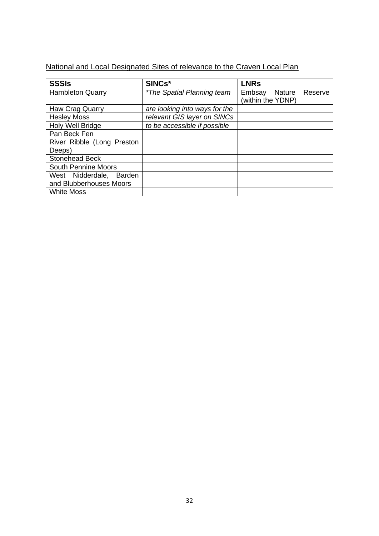# National and Local Designated Sites of relevance to the Craven Local Plan

| <b>SSSIs</b>               | SINCs*                            | <b>LNRs</b>                                   |
|----------------------------|-----------------------------------|-----------------------------------------------|
| <b>Hambleton Quarry</b>    | <i>*The Spatial Planning team</i> | Embsay Nature<br>Reserve<br>(within the YDNP) |
| Haw Crag Quarry            | are looking into ways for the     |                                               |
| <b>Hesley Moss</b>         | relevant GIS layer on SINCs       |                                               |
| Holy Well Bridge           | to be accessible if possible      |                                               |
| Pan Beck Fen               |                                   |                                               |
| River Ribble (Long Preston |                                   |                                               |
| Deeps)                     |                                   |                                               |
| Stonehead Beck             |                                   |                                               |
| <b>South Pennine Moors</b> |                                   |                                               |
| West Nidderdale, Barden    |                                   |                                               |
| and Blubberhouses Moors    |                                   |                                               |
| <b>White Moss</b>          |                                   |                                               |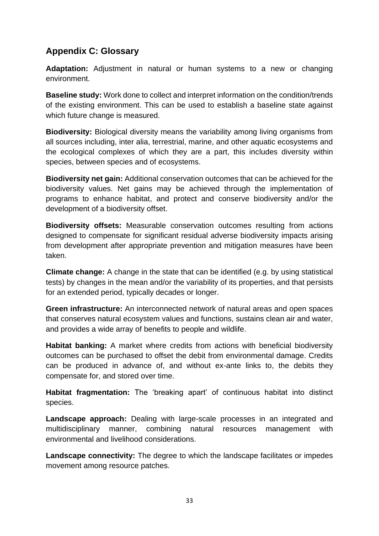# **Appendix C: Glossary**

**Adaptation:** Adjustment in natural or human systems to a new or changing environment.

**Baseline study:** Work done to collect and interpret information on the condition/trends of the existing environment. This can be used to establish a baseline state against which future change is measured.

**Biodiversity:** Biological diversity means the variability among living organisms from all sources including, inter alia, terrestrial, marine, and other aquatic ecosystems and the ecological complexes of which they are a part, this includes diversity within species, between species and of ecosystems.

**Biodiversity net gain:** Additional conservation outcomes that can be achieved for the biodiversity values. Net gains may be achieved through the implementation of programs to enhance habitat, and protect and conserve biodiversity and/or the development of a biodiversity offset.

**Biodiversity offsets:** Measurable conservation outcomes resulting from actions designed to compensate for significant residual adverse biodiversity impacts arising from development after appropriate prevention and mitigation measures have been taken.

**Climate change:** A change in the state that can be identified (e.g. by using statistical tests) by changes in the mean and/or the variability of its properties, and that persists for an extended period, typically decades or longer.

**Green infrastructure:** An interconnected network of natural areas and open spaces that conserves natural ecosystem values and functions, sustains clean air and water, and provides a wide array of benefits to people and wildlife.

**Habitat banking:** A market where credits from actions with beneficial biodiversity outcomes can be purchased to offset the debit from environmental damage. Credits can be produced in advance of, and without ex-ante links to, the debits they compensate for, and stored over time.

**Habitat fragmentation:** The 'breaking apart' of continuous habitat into distinct species.

**Landscape approach:** Dealing with large-scale processes in an integrated and multidisciplinary manner, combining natural resources management with environmental and livelihood considerations.

**Landscape connectivity:** The degree to which the landscape facilitates or impedes movement among resource patches.